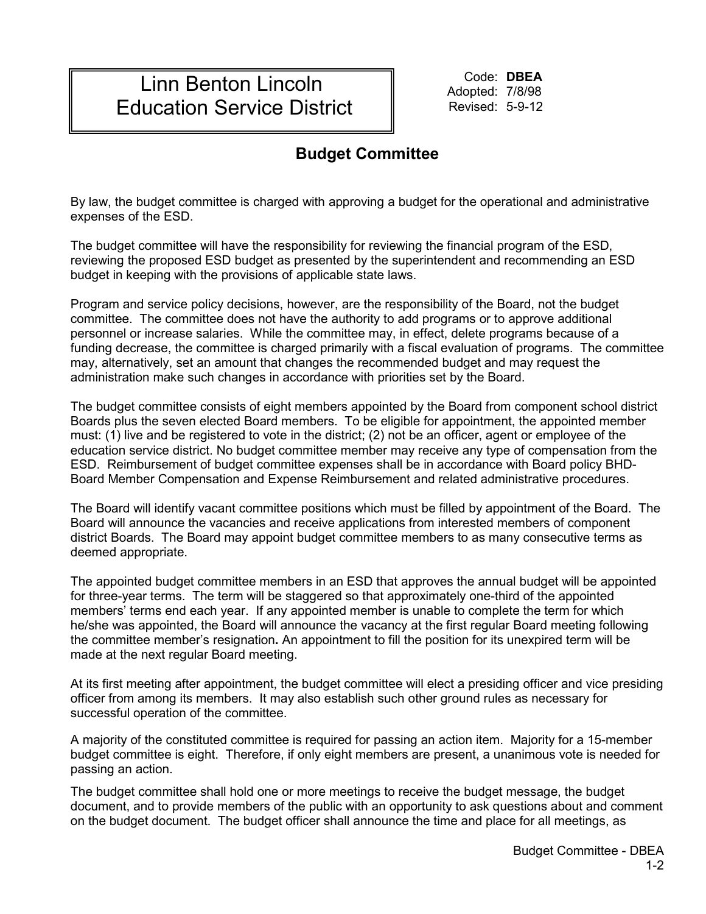## Linn Benton Lincoln Education Service District

Code: **DBEA** Adopted: 7/8/98 Revised: 5-9-12

## **Budget Committee**

By law, the budget committee is charged with approving a budget for the operational and administrative expenses of the ESD.

The budget committee will have the responsibility for reviewing the financial program of the ESD, reviewing the proposed ESD budget as presented by the superintendent and recommending an ESD budget in keeping with the provisions of applicable state laws.

Program and service policy decisions, however, are the responsibility of the Board, not the budget committee. The committee does not have the authority to add programs or to approve additional personnel or increase salaries. While the committee may, in effect, delete programs because of a funding decrease, the committee is charged primarily with a fiscal evaluation of programs. The committee may, alternatively, set an amount that changes the recommended budget and may request the administration make such changes in accordance with priorities set by the Board.

The budget committee consists of eight members appointed by the Board from component school district Boards plus the seven elected Board members. To be eligible for appointment, the appointed member must: (1) live and be registered to vote in the district; (2) not be an officer, agent or employee of the education service district. No budget committee member may receive any type of compensation from the ESD. Reimbursement of budget committee expenses shall be in accordance with Board policy BHD-Board Member Compensation and Expense Reimbursement and related administrative procedures.

The Board will identify vacant committee positions which must be filled by appointment of the Board. The Board will announce the vacancies and receive applications from interested members of component district Boards. The Board may appoint budget committee members to as many consecutive terms as deemed appropriate.

The appointed budget committee members in an ESD that approves the annual budget will be appointed for three-year terms. The term will be staggered so that approximately one-third of the appointed members' terms end each year. If any appointed member is unable to complete the term for which he/she was appointed, the Board will announce the vacancy at the first regular Board meeting following the committee member's resignation**.** An appointment to fill the position for its unexpired term will be made at the next regular Board meeting.

At its first meeting after appointment, the budget committee will elect a presiding officer and vice presiding officer from among its members. It may also establish such other ground rules as necessary for successful operation of the committee.

A majority of the constituted committee is required for passing an action item. Majority for a 15-member budget committee is eight. Therefore, if only eight members are present, a unanimous vote is needed for passing an action.

The budget committee shall hold one or more meetings to receive the budget message, the budget document, and to provide members of the public with an opportunity to ask questions about and comment on the budget document. The budget officer shall announce the time and place for all meetings, as